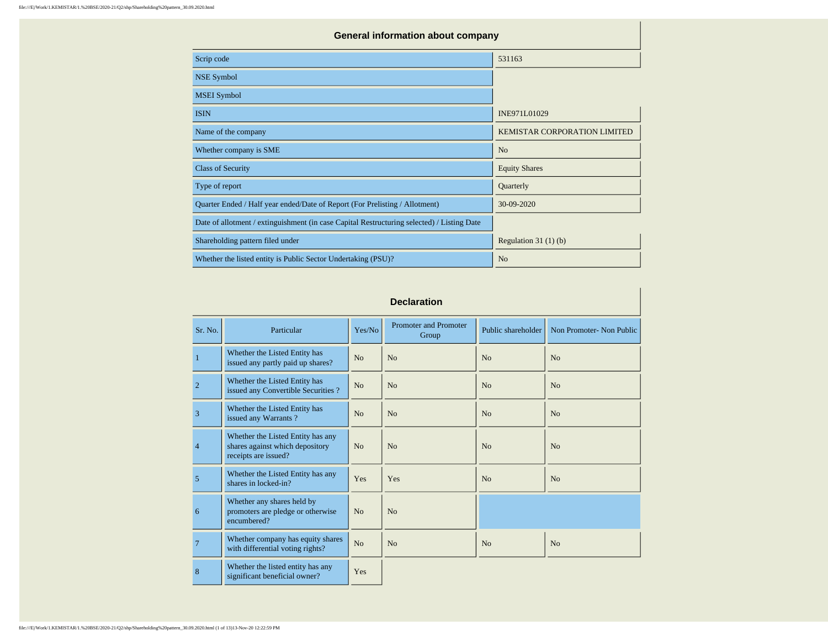| <b>General information about company</b>                                                   |                                     |  |  |  |  |  |  |  |  |
|--------------------------------------------------------------------------------------------|-------------------------------------|--|--|--|--|--|--|--|--|
| Scrip code                                                                                 | 531163                              |  |  |  |  |  |  |  |  |
| <b>NSE Symbol</b>                                                                          |                                     |  |  |  |  |  |  |  |  |
| <b>MSEI</b> Symbol                                                                         |                                     |  |  |  |  |  |  |  |  |
| <b>ISIN</b>                                                                                | INE971L01029                        |  |  |  |  |  |  |  |  |
| Name of the company                                                                        | <b>KEMISTAR CORPORATION LIMITED</b> |  |  |  |  |  |  |  |  |
| Whether company is SME                                                                     | N <sub>o</sub>                      |  |  |  |  |  |  |  |  |
| <b>Class of Security</b>                                                                   | <b>Equity Shares</b>                |  |  |  |  |  |  |  |  |
| Type of report                                                                             | Quarterly                           |  |  |  |  |  |  |  |  |
| Quarter Ended / Half year ended/Date of Report (For Prelisting / Allotment)                | 30-09-2020                          |  |  |  |  |  |  |  |  |
| Date of allotment / extinguishment (in case Capital Restructuring selected) / Listing Date |                                     |  |  |  |  |  |  |  |  |
| Shareholding pattern filed under                                                           | Regulation $31(1)(b)$               |  |  |  |  |  |  |  |  |
| Whether the listed entity is Public Sector Undertaking (PSU)?                              | N <sub>o</sub>                      |  |  |  |  |  |  |  |  |

## **Declaration**

| Sr. No.        | Particular                                                                                   | Yes/No         | <b>Promoter and Promoter</b><br>Group | Public shareholder | Non Promoter- Non Public |
|----------------|----------------------------------------------------------------------------------------------|----------------|---------------------------------------|--------------------|--------------------------|
| $\mathbf{1}$   | Whether the Listed Entity has<br>issued any partly paid up shares?                           | No             | No                                    | No                 | No                       |
| $\overline{2}$ | Whether the Listed Entity has<br>issued any Convertible Securities?                          | N <sub>o</sub> | No                                    | N <sub>0</sub>     | No                       |
| 3              | Whether the Listed Entity has<br>issued any Warrants?                                        | No             | No                                    | No                 | No                       |
| $\overline{4}$ | Whether the Listed Entity has any<br>shares against which depository<br>receipts are issued? | No             | No                                    | No                 | N <sub>0</sub>           |
| 5              | Whether the Listed Entity has any<br>shares in locked-in?                                    | Yes            | Yes                                   | N <sub>0</sub>     | No                       |
| 6              | Whether any shares held by<br>promoters are pledge or otherwise<br>encumbered?               | No             | N <sub>0</sub>                        |                    |                          |
| $\overline{7}$ | Whether company has equity shares<br>with differential voting rights?                        | No             | No                                    | N <sub>0</sub>     | N <sub>o</sub>           |
| 8              | Whether the listed entity has any<br>significant beneficial owner?                           | Yes            |                                       |                    |                          |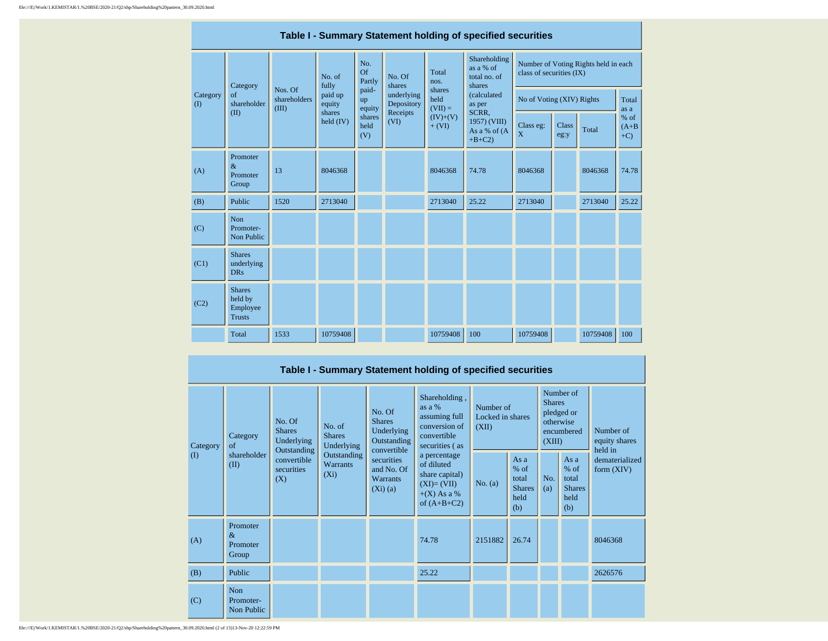|                    | Table I - Summary Statement holding of specified securities |                                  |                       |                       |                          |                             |                                                                           |                             |               |                                      |                             |  |  |  |
|--------------------|-------------------------------------------------------------|----------------------------------|-----------------------|-----------------------|--------------------------|-----------------------------|---------------------------------------------------------------------------|-----------------------------|---------------|--------------------------------------|-----------------------------|--|--|--|
|                    | Category                                                    |                                  | No. of<br>fully       | No.<br>Of<br>Partly   | No. Of<br>shares         | Total<br>nos.               | Shareholding<br>as a % of<br>total no. of<br>shares                       | class of securities (IX)    |               | Number of Voting Rights held in each |                             |  |  |  |
| Category<br>$($ I) | $\sigma$ f<br>shareholder                                   | Nos. Of<br>shareholders<br>(III) | paid up<br>equity     | paid-<br>up<br>equity | underlying<br>Depository | shares<br>held<br>$(VII) =$ | (calculated<br>as per<br>SCRR.<br>1957) (VIII)<br>As a % of (A<br>$+B+C2$ | No of Voting (XIV) Rights   |               |                                      | Total<br>as a               |  |  |  |
|                    | (II)                                                        |                                  | shares<br>held $(IV)$ | shares<br>held<br>(V) | Receipts<br>(VI)         | $(IV)+(V)$<br>$+ (VI)$      |                                                                           | Class eg:<br>$\overline{X}$ | Class<br>eg:y | Total                                | $%$ of<br>$(A+B)$<br>$+C$ ) |  |  |  |
| (A)                | Promoter<br>$\&$<br>Promoter<br>Group                       | 13                               | 8046368               |                       |                          | 8046368                     | 74.78                                                                     | 8046368                     |               | 8046368                              | 74.78                       |  |  |  |
| (B)                | Public                                                      | 1520                             | 2713040               |                       |                          | 2713040                     | 25.22                                                                     | 2713040                     |               | 2713040                              | 25.22                       |  |  |  |
| (C)                | Non<br>Promoter-<br>Non Public                              |                                  |                       |                       |                          |                             |                                                                           |                             |               |                                      |                             |  |  |  |
| (C1)               | <b>Shares</b><br>underlying<br><b>DRs</b>                   |                                  |                       |                       |                          |                             |                                                                           |                             |               |                                      |                             |  |  |  |
| (C2)               | <b>Shares</b><br>held by<br>Employee<br><b>Trusts</b>       |                                  |                       |                       |                          |                             |                                                                           |                             |               |                                      |                             |  |  |  |
|                    | Total                                                       | 1533                             | 10759408              |                       |                          | 10759408                    | 100                                                                       | 10759408                    |               | 10759408                             | 100                         |  |  |  |

| Table I - Summary Statement holding of specified securities |                                                                         |                                          |                                           |                                                                                                                               |                                                                                                |           |                                                         |            |                                                                               |                                       |  |  |
|-------------------------------------------------------------|-------------------------------------------------------------------------|------------------------------------------|-------------------------------------------|-------------------------------------------------------------------------------------------------------------------------------|------------------------------------------------------------------------------------------------|-----------|---------------------------------------------------------|------------|-------------------------------------------------------------------------------|---------------------------------------|--|--|
| Category<br>$\left( \mathrm{I}\right)$                      | No. Of<br><b>Shares</b><br>Category<br>of<br>shareholder<br>(II)<br>(X) | Underlying                               | No. of<br><b>Shares</b><br>Underlying     | No. Of<br><b>Shares</b><br>Underlying<br>Outstanding<br>convertible<br>securities<br>and No. Of<br><b>Warrants</b><br>(Xi)(a) | Shareholding,<br>as a %<br>assuming full<br>conversion of<br>convertible<br>securities (as     |           | Number of<br>Locked in shares<br>(XII)                  |            | Number of<br><b>Shares</b><br>pledged or<br>otherwise<br>encumbered<br>(XIII) | Number of<br>equity shares<br>held in |  |  |
|                                                             |                                                                         | Outstanding<br>convertible<br>securities | Outstanding<br><b>Warrants</b><br>$(X_i)$ |                                                                                                                               | a percentage<br>of diluted<br>share capital)<br>$(XI)=(VII)$<br>$+(X)$ As a %<br>of $(A+B+C2)$ | No. $(a)$ | As a<br>$%$ of<br>total<br><b>Shares</b><br>held<br>(b) | No.<br>(a) | As a<br>$%$ of<br>total<br><b>Shares</b><br>held<br>(b)                       | dematerialized<br>form $(XIV)$        |  |  |
| (A)                                                         | Promoter<br>$\&$<br>Promoter<br>Group                                   |                                          |                                           |                                                                                                                               | 74.78                                                                                          | 2151882   | 26.74                                                   |            |                                                                               | 8046368                               |  |  |
| (B)                                                         | Public                                                                  |                                          |                                           |                                                                                                                               | 25.22                                                                                          |           |                                                         |            |                                                                               | 2626576                               |  |  |
| (C)                                                         | Non<br>Promoter-<br>Non Public                                          |                                          |                                           |                                                                                                                               |                                                                                                |           |                                                         |            |                                                                               |                                       |  |  |

file:///E|/Work/1.KEMISTAR/1.%20BSE/2020-21/Q2/shp/Shareholding%20pattern\_30.09.2020.html (2 of 13)13-Nov-20 12:22:59 PM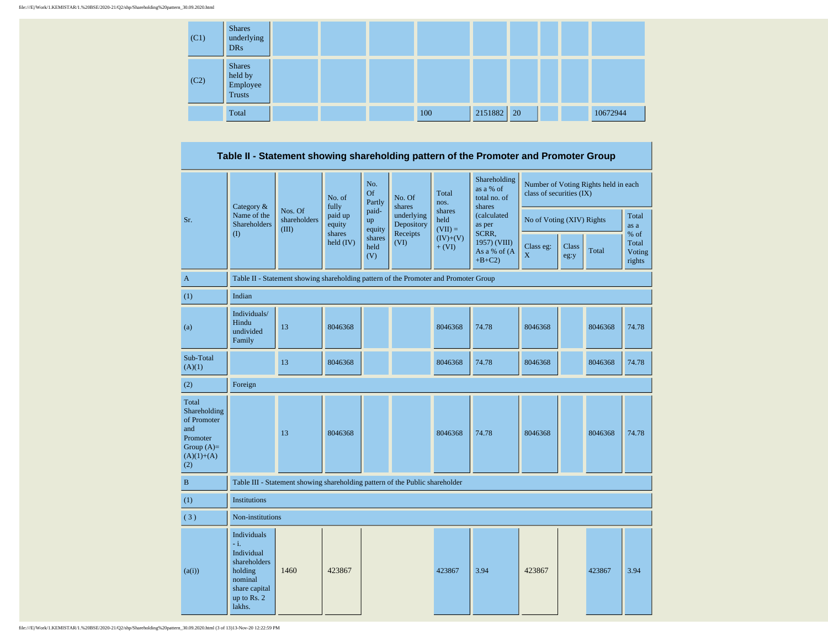| (C1) | <b>Shares</b><br>underlying<br><b>DRs</b>             |  |     |         |               |  |          |
|------|-------------------------------------------------------|--|-----|---------|---------------|--|----------|
| (C2) | <b>Shares</b><br>held by<br>Employee<br><b>Trusts</b> |  |     |         |               |  |          |
|      | Total                                                 |  | 100 | 2151882 | <sup>20</sup> |  | 10672944 |

**Table II - Statement showing shareholding pattern of the Promoter and Promoter Group**

|                                                                                                | Category &                                                                                                         |                                                                                      | No. of<br>fully     | No.<br><b>Of</b><br>Partly | No. Of<br>shares         | Total<br>nos.               | Shareholding<br>as a % of<br>total no. of<br>shares | class of securities (IX) |                           | Number of Voting Rights held in each |                                   |
|------------------------------------------------------------------------------------------------|--------------------------------------------------------------------------------------------------------------------|--------------------------------------------------------------------------------------|---------------------|----------------------------|--------------------------|-----------------------------|-----------------------------------------------------|--------------------------|---------------------------|--------------------------------------|-----------------------------------|
| Sr.                                                                                            | Name of the<br>Shareholders                                                                                        | Nos. Of<br>shareholders<br>(III)                                                     | paid up<br>equity   | paid-<br>up<br>equity      | underlying<br>Depository | shares<br>held<br>$(VII) =$ | (calculated<br>as per                               |                          | No of Voting (XIV) Rights |                                      | Total<br>as a                     |
|                                                                                                | $\rm (I)$                                                                                                          |                                                                                      | shares<br>held (IV) | shares<br>held<br>(V)      | Receipts<br>(VI)         | $(IV)+(V)$<br>$+ (VI)$      | SCRR,<br>1957) (VIII)<br>As a % of (A<br>$+B+C2$    | Class eg:<br>X           | <b>Class</b><br>eg:y      | Total                                | % of<br>Total<br>Voting<br>rights |
| A                                                                                              |                                                                                                                    | Table II - Statement showing shareholding pattern of the Promoter and Promoter Group |                     |                            |                          |                             |                                                     |                          |                           |                                      |                                   |
| (1)                                                                                            | Indian                                                                                                             |                                                                                      |                     |                            |                          |                             |                                                     |                          |                           |                                      |                                   |
| (a)                                                                                            | Individuals/<br>Hindu<br>undivided<br>Family                                                                       | 13                                                                                   | 8046368             |                            |                          | 8046368                     | 74.78                                               | 8046368                  |                           | 8046368                              | 74.78                             |
| Sub-Total<br>(A)(1)                                                                            |                                                                                                                    | 13                                                                                   | 8046368             |                            |                          | 8046368                     | 74.78                                               | 8046368                  |                           | 8046368                              | 74.78                             |
| (2)                                                                                            | Foreign                                                                                                            |                                                                                      |                     |                            |                          |                             |                                                     |                          |                           |                                      |                                   |
| Total<br>Shareholding<br>of Promoter<br>and<br>Promoter<br>Group $(A)=$<br>$(A)(1)+(A)$<br>(2) |                                                                                                                    | 13                                                                                   | 8046368             |                            |                          | 8046368                     | 74.78                                               | 8046368                  |                           | 8046368                              | 74.78                             |
| $\, {\bf B}$                                                                                   |                                                                                                                    | Table III - Statement showing shareholding pattern of the Public shareholder         |                     |                            |                          |                             |                                                     |                          |                           |                                      |                                   |
| (1)                                                                                            | <b>Institutions</b>                                                                                                |                                                                                      |                     |                            |                          |                             |                                                     |                          |                           |                                      |                                   |
| (3)                                                                                            | Non-institutions                                                                                                   |                                                                                      |                     |                            |                          |                             |                                                     |                          |                           |                                      |                                   |
| (a(i))                                                                                         | Individuals<br>- ill<br>Individual<br>shareholders<br>holding<br>nominal<br>share capital<br>up to Rs. 2<br>lakhs. | 1460                                                                                 | 423867              |                            |                          | 423867                      | 3.94                                                | 423867                   |                           | 423867                               | 3.94                              |

file:///E|/Work/1.KEMISTAR/1.%20BSE/2020-21/Q2/shp/Shareholding%20pattern\_30.09.2020.html (3 of 13)13-Nov-20 12:22:59 PM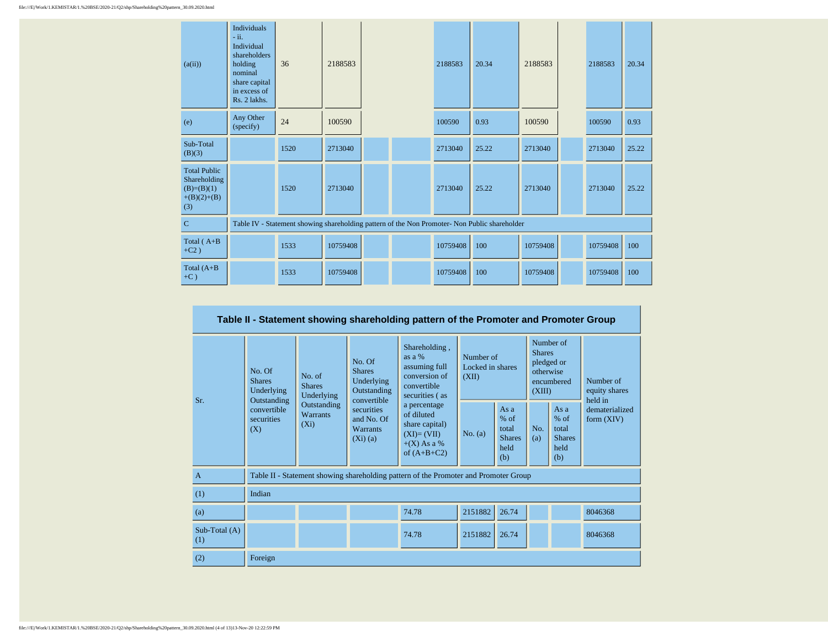| (a(ii))                                                                     | <b>Individuals</b><br>$-ii.$<br>Individual<br>shareholders<br>holding<br>nominal<br>share capital<br>in excess of<br>Rs. 2 lakhs. | 36   | 2188583  |                                                                                               | 2188583  | 20.34 | 2188583  | 2188583  | 20.34 |
|-----------------------------------------------------------------------------|-----------------------------------------------------------------------------------------------------------------------------------|------|----------|-----------------------------------------------------------------------------------------------|----------|-------|----------|----------|-------|
| (e)                                                                         | Any Other<br>(specify)                                                                                                            | 24   | 100590   |                                                                                               | 100590   | 0.93  | 100590   | 100590   | 0.93  |
| Sub-Total<br>(B)(3)                                                         |                                                                                                                                   | 1520 | 2713040  |                                                                                               | 2713040  | 25.22 | 2713040  | 2713040  | 25.22 |
| <b>Total Public</b><br>Shareholding<br>$(B)=(B)(1)$<br>$+(B)(2)+(B)$<br>(3) |                                                                                                                                   | 1520 | 2713040  |                                                                                               | 2713040  | 25.22 | 2713040  | 2713040  | 25.22 |
| $\mathbf C$                                                                 |                                                                                                                                   |      |          | Table IV - Statement showing shareholding pattern of the Non Promoter- Non Public shareholder |          |       |          |          |       |
| Total $(A+B)$<br>$+C2)$                                                     |                                                                                                                                   | 1533 | 10759408 |                                                                                               | 10759408 | 100   | 10759408 | 10759408 | 100   |
| Total $(A+B)$<br>$+C$ )                                                     |                                                                                                                                   | 1533 | 10759408 |                                                                                               | 10759408 | 100   | 10759408 | 10759408 | 100   |

|                      | Table II - Statement showing shareholding pattern of the Promoter and Promoter Group |                                           |                                                                     |                                                                                                |         |                                                         |            |                                                                               |                                       |  |  |  |
|----------------------|--------------------------------------------------------------------------------------|-------------------------------------------|---------------------------------------------------------------------|------------------------------------------------------------------------------------------------|---------|---------------------------------------------------------|------------|-------------------------------------------------------------------------------|---------------------------------------|--|--|--|
| Sr.                  | No. Of<br><b>Shares</b><br>Underlying<br>Outstanding                                 | No. of<br><b>Shares</b><br>Underlying     | No. Of<br><b>Shares</b><br>Underlying<br>Outstanding<br>convertible | Shareholding,<br>as $a\%$<br>assuming full<br>conversion of<br>convertible<br>securities (as   |         | Number of<br>Locked in shares<br>(XII)                  |            | Number of<br><b>Shares</b><br>pledged or<br>otherwise<br>encumbered<br>(XIII) | Number of<br>equity shares<br>held in |  |  |  |
|                      | convertible<br>securities<br>(X)                                                     | Outstanding<br><b>Warrants</b><br>$(X_i)$ | securities<br>and No. Of<br><b>Warrants</b><br>(Xi)(a)              | a percentage<br>of diluted<br>share capital)<br>$(XI)=(VII)$<br>$+(X)$ As a %<br>of $(A+B+C2)$ | No. (a) | As a<br>$%$ of<br>total<br><b>Shares</b><br>held<br>(b) | No.<br>(a) | As $a$<br>$%$ of<br>total<br><b>Shares</b><br>held<br>(b)                     | dematerialized<br>form $(XIV)$        |  |  |  |
| $\overline{A}$       |                                                                                      |                                           |                                                                     | Table II - Statement showing shareholding pattern of the Promoter and Promoter Group           |         |                                                         |            |                                                                               |                                       |  |  |  |
| (1)                  | Indian                                                                               |                                           |                                                                     |                                                                                                |         |                                                         |            |                                                                               |                                       |  |  |  |
| (a)                  |                                                                                      |                                           |                                                                     | 74.78                                                                                          | 2151882 | 26.74                                                   |            |                                                                               | 8046368                               |  |  |  |
| Sub-Total (A)<br>(1) |                                                                                      |                                           |                                                                     | 74.78                                                                                          | 2151882 | 26.74                                                   |            |                                                                               | 8046368                               |  |  |  |
| (2)                  | Foreign                                                                              |                                           |                                                                     |                                                                                                |         |                                                         |            |                                                                               |                                       |  |  |  |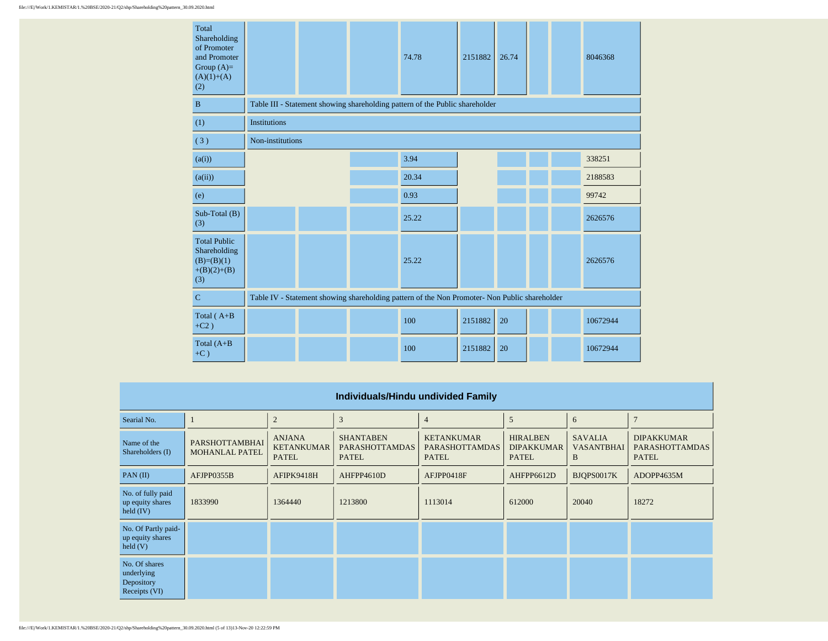| Total<br>Shareholding<br>of Promoter<br>and Promoter<br>Group $(A)=$<br>$(A)(1)+(A)$<br>(2) |                                                                                               |  |  | 74.78                                                                        | 2151882 | 26.74 |  |  | 8046368  |  |
|---------------------------------------------------------------------------------------------|-----------------------------------------------------------------------------------------------|--|--|------------------------------------------------------------------------------|---------|-------|--|--|----------|--|
| B                                                                                           |                                                                                               |  |  | Table III - Statement showing shareholding pattern of the Public shareholder |         |       |  |  |          |  |
| (1)                                                                                         | <b>Institutions</b>                                                                           |  |  |                                                                              |         |       |  |  |          |  |
| (3)                                                                                         | Non-institutions                                                                              |  |  |                                                                              |         |       |  |  |          |  |
| (a(i))                                                                                      |                                                                                               |  |  | 3.94                                                                         |         |       |  |  | 338251   |  |
| (a(ii))                                                                                     |                                                                                               |  |  | 20.34                                                                        |         |       |  |  | 2188583  |  |
| (e)                                                                                         |                                                                                               |  |  | 0.93                                                                         |         |       |  |  | 99742    |  |
| Sub-Total (B)<br>(3)                                                                        |                                                                                               |  |  | 25.22                                                                        |         |       |  |  | 2626576  |  |
| <b>Total Public</b><br>Shareholding<br>$(B)=(B)(1)$<br>$+(B)(2)+(B)$<br>(3)                 |                                                                                               |  |  | 25.22                                                                        |         |       |  |  | 2626576  |  |
| $\mathbf C$                                                                                 | Table IV - Statement showing shareholding pattern of the Non Promoter- Non Public shareholder |  |  |                                                                              |         |       |  |  |          |  |
| Total ( $A+B$<br>$+C2)$                                                                     |                                                                                               |  |  | 100                                                                          | 2151882 | 20    |  |  | 10672944 |  |
| Total $(A+B)$<br>$+C$ )                                                                     |                                                                                               |  |  | 100                                                                          | 2151882 | 20    |  |  | 10672944 |  |

| Individuals/Hindu undivided Family                           |                                         |                                                    |                                                           |                                                            |                                                      |                                          |                                                            |  |  |  |  |
|--------------------------------------------------------------|-----------------------------------------|----------------------------------------------------|-----------------------------------------------------------|------------------------------------------------------------|------------------------------------------------------|------------------------------------------|------------------------------------------------------------|--|--|--|--|
| Searial No.                                                  |                                         | $\overline{2}$                                     | 3                                                         | $\overline{4}$                                             | 5                                                    | 6                                        | $\overline{7}$                                             |  |  |  |  |
| Name of the<br>Shareholders (I)                              | PARSHOTTAMBHAI<br><b>MOHANLAL PATEL</b> | <b>ANJANA</b><br><b>KETANKUMAR</b><br><b>PATEL</b> | <b>SHANTABEN</b><br><b>PARASHOTTAMDAS</b><br><b>PATEL</b> | <b>KETANKUMAR</b><br><b>PARASHOTTAMDAS</b><br><b>PATEL</b> | <b>HIRALBEN</b><br><b>DIPAKKUMAR</b><br><b>PATEL</b> | <b>SAVALIA</b><br><b>VASANTBHAI</b><br>B | <b>DIPAKKUMAR</b><br><b>PARASHOTTAMDAS</b><br><b>PATEL</b> |  |  |  |  |
| PAN(II)                                                      | AFJPP0355B                              | AFIPK9418H                                         | AHFPP4610D                                                | AFJPP0418F                                                 | AHFPP6612D                                           | BJOPS0017K                               | ADOPP4635M                                                 |  |  |  |  |
| No. of fully paid<br>up equity shares<br>held $(IV)$         | 1833990                                 | 1364440                                            | 1213800                                                   | 1113014                                                    | 612000                                               | 20040                                    | 18272                                                      |  |  |  |  |
| No. Of Partly paid-<br>up equity shares<br>$\text{held}$ (V) |                                         |                                                    |                                                           |                                                            |                                                      |                                          |                                                            |  |  |  |  |
| No. Of shares<br>underlying<br>Depository<br>Receipts (VI)   |                                         |                                                    |                                                           |                                                            |                                                      |                                          |                                                            |  |  |  |  |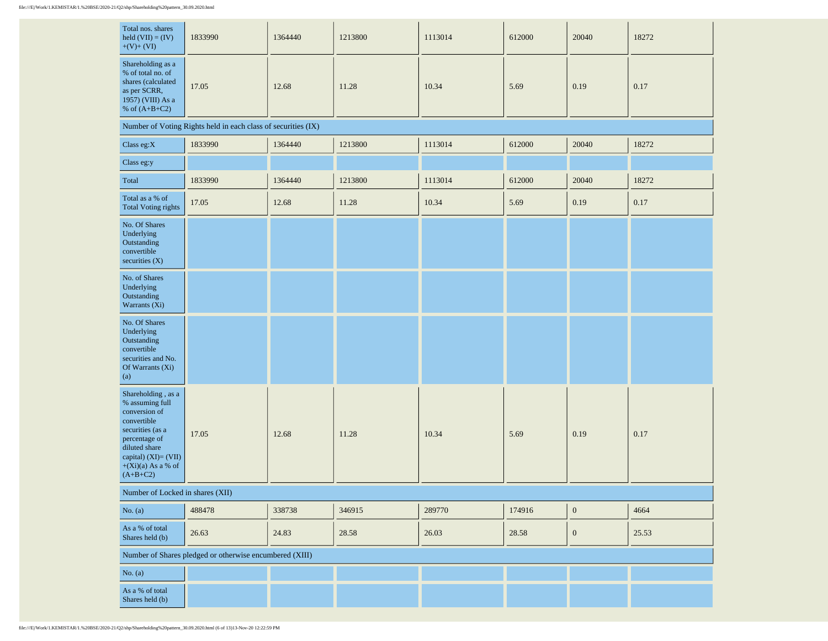| Total nos. shares<br>held $(VII) = (IV)$<br>$+(V)+(VI)$                                                                                                                                    | 1833990                                                       | 1364440 | 1213800 | 1113014 | 612000 | 20040            | 18272 |
|--------------------------------------------------------------------------------------------------------------------------------------------------------------------------------------------|---------------------------------------------------------------|---------|---------|---------|--------|------------------|-------|
| Shareholding as a<br>% of total no. of<br>shares (calculated<br>as per SCRR,<br>1957) (VIII) As a<br>% of $(A+B+C2)$                                                                       | 17.05                                                         | 12.68   | 11.28   | 10.34   | 5.69   | 0.19             | 0.17  |
|                                                                                                                                                                                            | Number of Voting Rights held in each class of securities (IX) |         |         |         |        |                  |       |
| Class eg: $X$                                                                                                                                                                              | 1833990                                                       | 1364440 | 1213800 | 1113014 | 612000 | 20040            | 18272 |
| Class eg:y                                                                                                                                                                                 |                                                               |         |         |         |        |                  |       |
| Total                                                                                                                                                                                      | 1833990                                                       | 1364440 | 1213800 | 1113014 | 612000 | 20040            | 18272 |
| Total as a % of<br><b>Total Voting rights</b>                                                                                                                                              | 17.05                                                         | 12.68   | 11.28   | 10.34   | 5.69   | 0.19             | 0.17  |
| No. Of Shares<br>Underlying<br>Outstanding<br>convertible<br>securities (X)                                                                                                                |                                                               |         |         |         |        |                  |       |
| No. of Shares<br>Underlying<br>Outstanding<br>Warrants (Xi)                                                                                                                                |                                                               |         |         |         |        |                  |       |
| No. Of Shares<br>Underlying<br>Outstanding<br>convertible<br>securities and No.<br>Of Warrants (Xi)<br>(a)                                                                                 |                                                               |         |         |         |        |                  |       |
| Shareholding , as a<br>% assuming full<br>conversion of<br>convertible<br>securities (as a<br>percentage of<br>diluted share<br>capital) (XI)= (VII)<br>$+(Xi)(a)$ As a % of<br>$(A+B+C2)$ | 17.05                                                         | 12.68   | 11.28   | 10.34   | 5.69   | 0.19             | 0.17  |
| Number of Locked in shares (XII)                                                                                                                                                           |                                                               |         |         |         |        |                  |       |
| No. $(a)$                                                                                                                                                                                  | 488478                                                        | 338738  | 346915  | 289770  | 174916 | $\boldsymbol{0}$ | 4664  |
| As a $\%$ of total<br>Shares held (b)                                                                                                                                                      | 26.63                                                         | 24.83   | 28.58   | 26.03   | 28.58  | $\boldsymbol{0}$ | 25.53 |
|                                                                                                                                                                                            | Number of Shares pledged or otherwise encumbered (XIII)       |         |         |         |        |                  |       |
| No. $(a)$                                                                                                                                                                                  |                                                               |         |         |         |        |                  |       |
| As a $\%$ of total<br>Shares held (b)                                                                                                                                                      |                                                               |         |         |         |        |                  |       |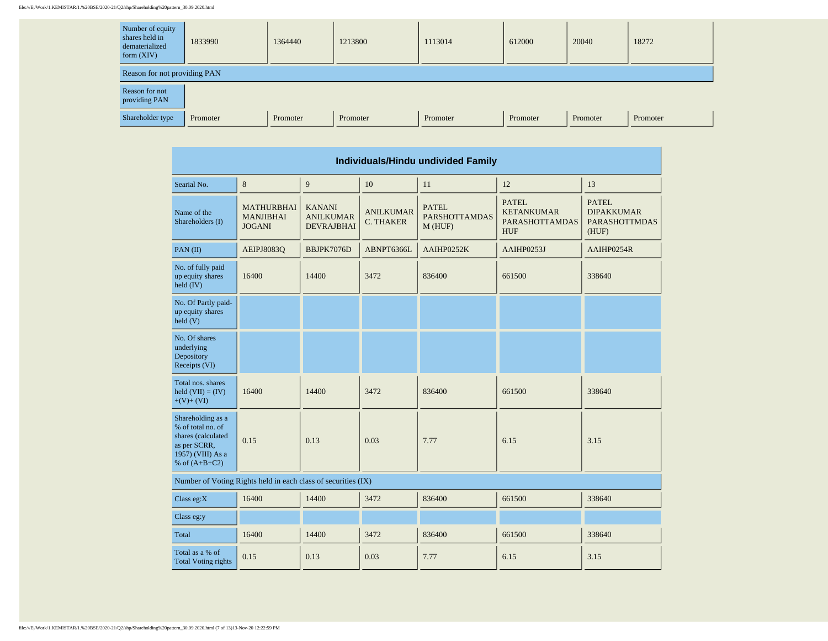| Number of equity<br>shares held in<br>dematerialized<br>form $(XIV)$ | 1833990  | 1364440  | 1213800  | 1113014  | 612000   | 20040    | 18272    |  |  |  |  |
|----------------------------------------------------------------------|----------|----------|----------|----------|----------|----------|----------|--|--|--|--|
| Reason for not providing PAN                                         |          |          |          |          |          |          |          |  |  |  |  |
| Reason for not<br>providing PAN                                      |          |          |          |          |          |          |          |  |  |  |  |
| Shareholder type                                                     | Promoter | Promoter | Promoter | Promoter | Promoter | Promoter | Promoter |  |  |  |  |

 $\overline{\phantom{a}}$ 

| Individuals/Hindu undivided Family                                                                                           |                                                        |                                                        |                                      |                                                                                                                            |            |                                                                    |  |  |  |  |
|------------------------------------------------------------------------------------------------------------------------------|--------------------------------------------------------|--------------------------------------------------------|--------------------------------------|----------------------------------------------------------------------------------------------------------------------------|------------|--------------------------------------------------------------------|--|--|--|--|
| Searial No.                                                                                                                  | 8                                                      | 9                                                      | 10                                   | 11                                                                                                                         | 12         | 13                                                                 |  |  |  |  |
| Name of the<br>Shareholders (I)                                                                                              | <b>MATHURBHAI</b><br><b>MANJIBHAI</b><br><b>JOGANI</b> | <b>KANANI</b><br><b>ANILKUMAR</b><br><b>DEVRAJBHAI</b> | <b>ANILKUMAR</b><br><b>C. THAKER</b> | <b>PATEL</b><br><b>PATEL</b><br><b>KETANKUMAR</b><br><b>PARSHOTTAMDAS</b><br><b>PARASHOTTAMDAS</b><br>M(HUF)<br><b>HUF</b> |            | <b>PATEL</b><br><b>DIPAKKUMAR</b><br><b>PARASHOTTMDAS</b><br>(HUF) |  |  |  |  |
| PAN (II)                                                                                                                     | AEIPJ8083Q                                             | BBJPK7076D                                             | ABNPT6366L                           | AAIHP0252K                                                                                                                 | AAIHP0253J | AAIHP0254R                                                         |  |  |  |  |
| No. of fully paid<br>up equity shares<br>held (IV)                                                                           | 16400                                                  | 14400                                                  | 3472                                 | 836400<br>661500                                                                                                           |            | 338640                                                             |  |  |  |  |
| No. Of Partly paid-<br>up equity shares<br>held(V)                                                                           |                                                        |                                                        |                                      |                                                                                                                            |            |                                                                    |  |  |  |  |
| No. Of shares<br>underlying<br>Depository<br>Receipts (VI)                                                                   |                                                        |                                                        |                                      |                                                                                                                            |            |                                                                    |  |  |  |  |
| Total nos, shares<br>held $(VII) = (IV)$<br>$+(V)+(VI)$                                                                      | 16400                                                  | 14400                                                  | 3472                                 | 836400                                                                                                                     | 661500     | 338640                                                             |  |  |  |  |
| Shareholding as a<br>% of total no. of<br>shares (calculated<br>0.15<br>as per SCRR,<br>1957) (VIII) As a<br>% of $(A+B+C2)$ |                                                        | 0.13                                                   | 0.03                                 | 7.77                                                                                                                       | 6.15       | 3.15                                                               |  |  |  |  |
| Number of Voting Rights held in each class of securities (IX)                                                                |                                                        |                                                        |                                      |                                                                                                                            |            |                                                                    |  |  |  |  |
| Class eg: $X$                                                                                                                | 16400                                                  | 14400                                                  | 3472                                 | 836400                                                                                                                     | 661500     | 338640                                                             |  |  |  |  |
| Class eg:y                                                                                                                   |                                                        |                                                        |                                      |                                                                                                                            |            |                                                                    |  |  |  |  |
| Total                                                                                                                        | 16400                                                  | 14400                                                  | 3472                                 | 836400                                                                                                                     | 661500     | 338640                                                             |  |  |  |  |
| Total as a % of<br><b>Total Voting rights</b>                                                                                | 0.15<br>0.13<br>0.03                                   |                                                        |                                      | 7.77                                                                                                                       | 6.15       | 3.15                                                               |  |  |  |  |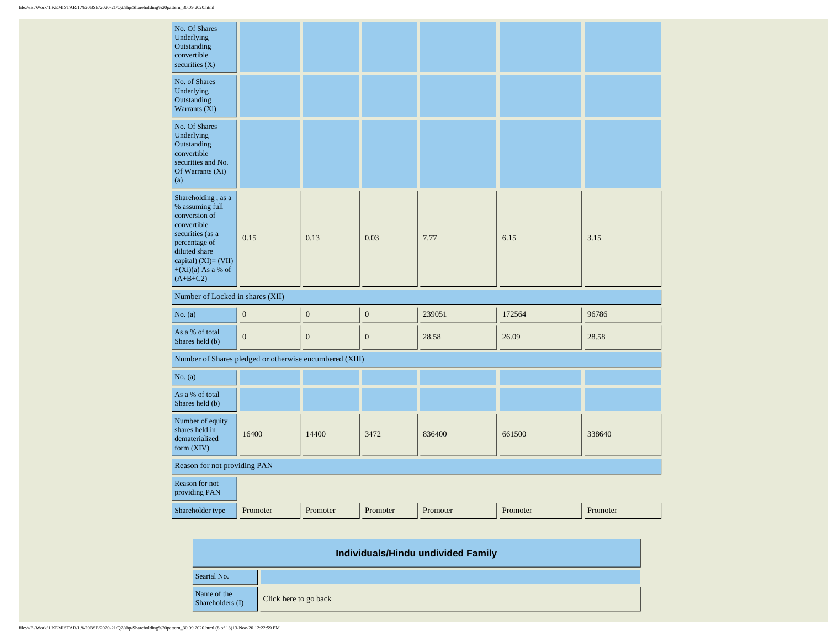| No. Of Shares<br>Underlying<br>Outstanding<br>convertible<br>securities $(X)$                                                                                                                |                  |                  |                  |          |          |          |  |
|----------------------------------------------------------------------------------------------------------------------------------------------------------------------------------------------|------------------|------------------|------------------|----------|----------|----------|--|
| No. of Shares<br>Underlying<br>Outstanding<br>Warrants (Xi)                                                                                                                                  |                  |                  |                  |          |          |          |  |
| No. Of Shares<br>Underlying<br>Outstanding<br>convertible<br>securities and No.<br>Of Warrants (Xi)<br>(a)                                                                                   |                  |                  |                  |          |          |          |  |
| Shareholding, as a<br>% assuming full<br>conversion of<br>convertible<br>securities (as a<br>percentage of<br>diluted share<br>capital) $(XI) = (VII)$<br>$+(Xi)(a)$ As a % of<br>$(A+B+C2)$ | 0.15             |                  | 0.03             | 7.77     | 6.15     | 3.15     |  |
| Number of Locked in shares (XII)                                                                                                                                                             |                  |                  |                  |          |          |          |  |
| No. (a)                                                                                                                                                                                      | $\boldsymbol{0}$ | $\boldsymbol{0}$ | $\boldsymbol{0}$ | 239051   | 172564   | 96786    |  |
| As a % of total<br>Shares held (b)                                                                                                                                                           | $\boldsymbol{0}$ | $\boldsymbol{0}$ | $\mathbf{0}$     | 28.58    | 26.09    | 28.58    |  |
| Number of Shares pledged or otherwise encumbered (XIII)                                                                                                                                      |                  |                  |                  |          |          |          |  |
| No. (a)                                                                                                                                                                                      |                  |                  |                  |          |          |          |  |
| As a % of total<br>Shares held (b)                                                                                                                                                           |                  |                  |                  |          |          |          |  |
| Number of equity<br>shares held in<br>dematerialized<br>form (XIV)                                                                                                                           | 16400            | 14400            | 3472             | 836400   | 661500   | 338640   |  |
| Reason for not providing PAN                                                                                                                                                                 |                  |                  |                  |          |          |          |  |
| Reason for not<br>providing PAN                                                                                                                                                              |                  |                  |                  |          |          |          |  |
| Shareholder type                                                                                                                                                                             | Promoter         | Promoter         | Promoter         | Promoter | Promoter | Promoter |  |

| Individuals/Hindu undivided Family |                       |  |  |  |  |  |  |
|------------------------------------|-----------------------|--|--|--|--|--|--|
| Searial No.                        |                       |  |  |  |  |  |  |
| Name of the<br>Shareholders (I)    | Click here to go back |  |  |  |  |  |  |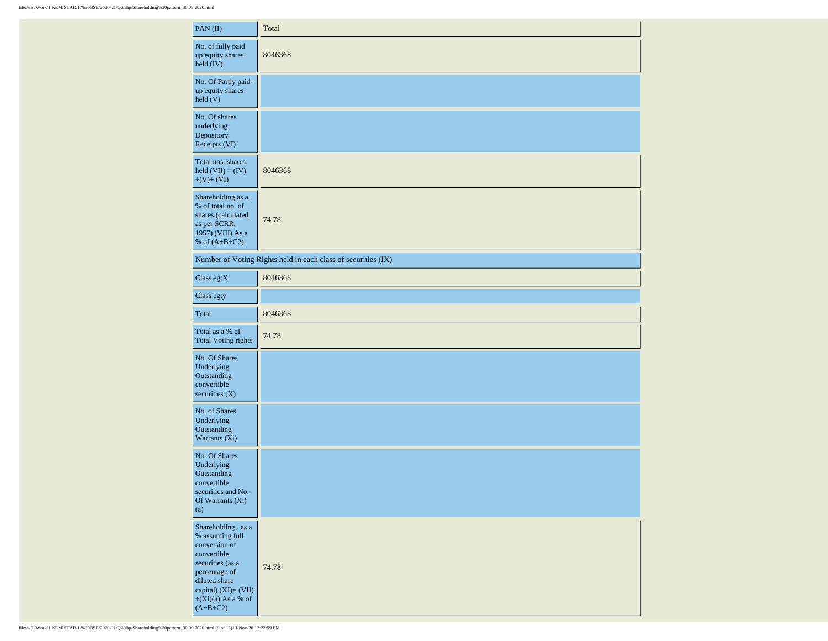| PAN(II)                                                                                                                                                                                       | Total                                                         |
|-----------------------------------------------------------------------------------------------------------------------------------------------------------------------------------------------|---------------------------------------------------------------|
| No. of fully paid<br>up equity shares<br>held (IV)                                                                                                                                            | 8046368                                                       |
| No. Of Partly paid-<br>up equity shares<br>held(V)                                                                                                                                            |                                                               |
| No. Of shares<br>underlying<br>Depository<br>Receipts (VI)                                                                                                                                    |                                                               |
| Total nos. shares<br>held $(VII) = (IV)$<br>$+(V)+(VI)$                                                                                                                                       | 8046368                                                       |
| Shareholding as a<br>% of total no. of<br>shares (calculated<br>as per SCRR,<br>1957) (VIII) As a<br>% of $(A+B+C2)$                                                                          | 74.78                                                         |
|                                                                                                                                                                                               | Number of Voting Rights held in each class of securities (IX) |
| Class eg: $X$                                                                                                                                                                                 | 8046368                                                       |
| Class eg:y                                                                                                                                                                                    |                                                               |
| Total                                                                                                                                                                                         | 8046368                                                       |
| Total as a % of<br><b>Total Voting rights</b>                                                                                                                                                 | 74.78                                                         |
| No. Of Shares<br>Underlying<br>Outstanding<br>convertible<br>securities $(X)$                                                                                                                 |                                                               |
| No. of Shares<br>Underlying<br>Outstanding<br>Warrants (Xi)                                                                                                                                   |                                                               |
| No. Of Shares<br>Underlying<br>Outstanding<br>convertible<br>securities and No.<br>Of Warrants (Xi)<br>(a)                                                                                    |                                                               |
| Shareholding , as a<br>$\%$ assuming full<br>conversion of<br>convertible<br>securities (as a<br>percentage of<br>diluted share<br>capital) (XI)= (VII)<br>$+(Xi)(a)$ As a % of<br>$(A+B+C2)$ | 74.78                                                         |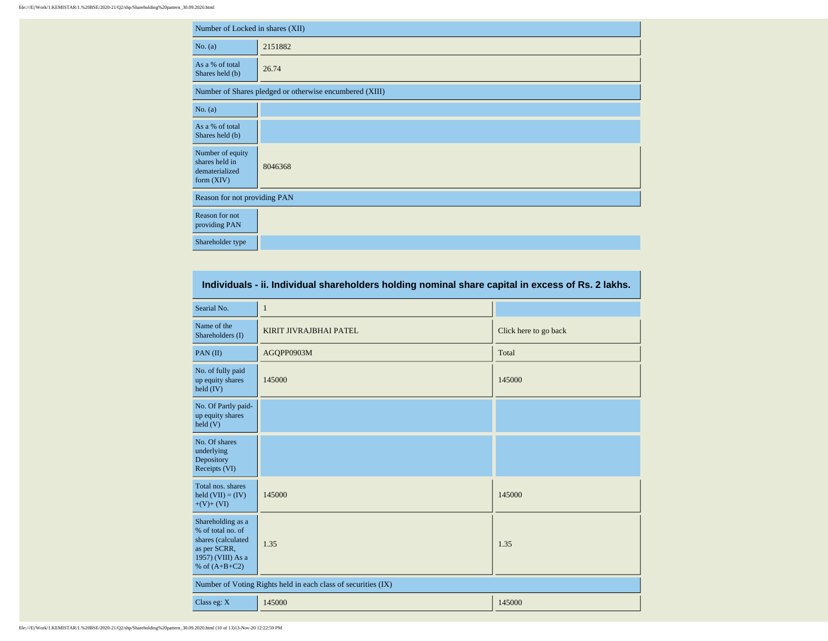|                                                                      | Number of Locked in shares (XII)                        |  |  |  |  |  |  |  |  |
|----------------------------------------------------------------------|---------------------------------------------------------|--|--|--|--|--|--|--|--|
| No. (a)                                                              | 2151882                                                 |  |  |  |  |  |  |  |  |
| As a % of total<br>Shares held (b)                                   | 26.74                                                   |  |  |  |  |  |  |  |  |
|                                                                      | Number of Shares pledged or otherwise encumbered (XIII) |  |  |  |  |  |  |  |  |
| No. (a)                                                              |                                                         |  |  |  |  |  |  |  |  |
| As a % of total<br>Shares held (b)                                   |                                                         |  |  |  |  |  |  |  |  |
| Number of equity<br>shares held in<br>dematerialized<br>form $(XIV)$ | 8046368                                                 |  |  |  |  |  |  |  |  |
| Reason for not providing PAN                                         |                                                         |  |  |  |  |  |  |  |  |
| Reason for not<br>providing PAN                                      |                                                         |  |  |  |  |  |  |  |  |
| Shareholder type                                                     |                                                         |  |  |  |  |  |  |  |  |

| Individuals - ii. Individual shareholders holding nominal share capital in excess of Rs. 2 lakhs.                    |                                                               |                       |  |  |  |  |  |  |  |
|----------------------------------------------------------------------------------------------------------------------|---------------------------------------------------------------|-----------------------|--|--|--|--|--|--|--|
| Searial No.                                                                                                          | $\mathbf{1}$                                                  |                       |  |  |  |  |  |  |  |
| Name of the<br>Shareholders (I)                                                                                      | KIRIT JIVRAJBHAI PATEL                                        | Click here to go back |  |  |  |  |  |  |  |
| PAN(II)                                                                                                              | AGQPP0903M                                                    | Total                 |  |  |  |  |  |  |  |
| No. of fully paid<br>up equity shares<br>held (IV)                                                                   | 145000                                                        | 145000                |  |  |  |  |  |  |  |
| No. Of Partly paid-<br>up equity shares<br>$\text{held}$ (V)                                                         |                                                               |                       |  |  |  |  |  |  |  |
| No. Of shares<br>underlying<br>Depository<br>Receipts (VI)                                                           |                                                               |                       |  |  |  |  |  |  |  |
| Total nos. shares<br>held $(VII) = (IV)$<br>$+(V)+(VI)$                                                              | 145000                                                        | 145000                |  |  |  |  |  |  |  |
| Shareholding as a<br>% of total no. of<br>shares (calculated<br>as per SCRR,<br>1957) (VIII) As a<br>% of $(A+B+C2)$ | 1.35                                                          | 1.35                  |  |  |  |  |  |  |  |
|                                                                                                                      | Number of Voting Rights held in each class of securities (IX) |                       |  |  |  |  |  |  |  |
| Class eg: X                                                                                                          | 145000<br>145000                                              |                       |  |  |  |  |  |  |  |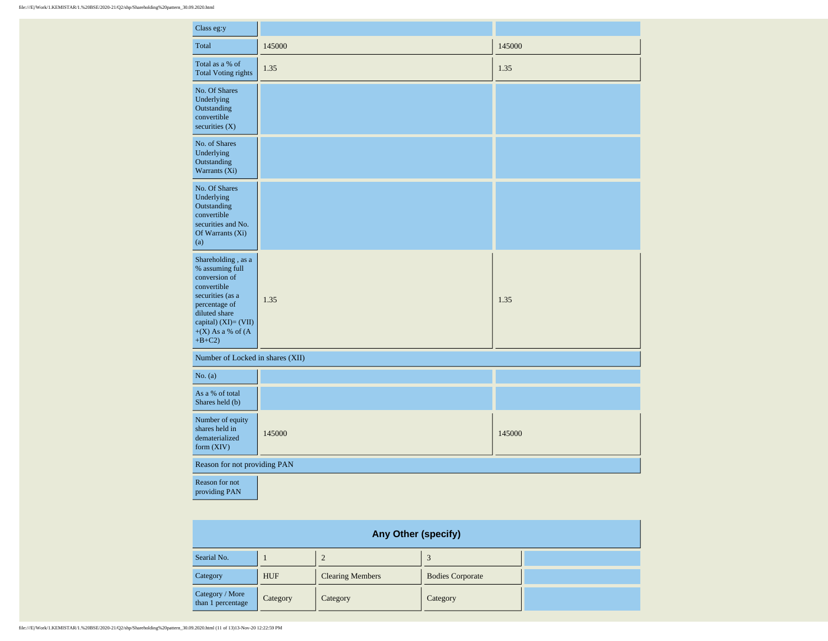| Class eg:y                                                                                                                                                                               |        |        |
|------------------------------------------------------------------------------------------------------------------------------------------------------------------------------------------|--------|--------|
| Total                                                                                                                                                                                    | 145000 | 145000 |
| Total as a % of<br><b>Total Voting rights</b>                                                                                                                                            | 1.35   | 1.35   |
| No. Of Shares<br>Underlying<br>Outstanding<br>convertible<br>securities $(X)$                                                                                                            |        |        |
| No. of Shares<br>Underlying<br>Outstanding<br>Warrants (Xi)                                                                                                                              |        |        |
| No. Of Shares<br>Underlying<br>Outstanding<br>convertible<br>securities and No.<br>Of Warrants (Xi)<br>(a)                                                                               |        |        |
| Shareholding, as a<br>% assuming full<br>conversion of<br>convertible<br>securities (as a<br>percentage of<br>diluted share<br>capital) $(XI) = (VII)$<br>$+(X)$ As a % of (A<br>$+B+C2$ | 1.35   | 1.35   |
| Number of Locked in shares (XII)                                                                                                                                                         |        |        |
| No. (a)                                                                                                                                                                                  |        |        |
| As a % of total<br>Shares held (b)                                                                                                                                                       |        |        |
| Number of equity<br>shares held in<br>dematerialized<br>form $(XIV)$                                                                                                                     | 145000 | 145000 |
| Reason for not providing PAN                                                                                                                                                             |        |        |
| Reason for not<br>providing PAN                                                                                                                                                          |        |        |

| <b>Any Other (specify)</b>           |            |                         |                         |  |  |  |  |  |  |  |  |
|--------------------------------------|------------|-------------------------|-------------------------|--|--|--|--|--|--|--|--|
| Searial No.                          | 2          |                         |                         |  |  |  |  |  |  |  |  |
| Category                             | <b>HUF</b> | <b>Clearing Members</b> | <b>Bodies Corporate</b> |  |  |  |  |  |  |  |  |
| Category / More<br>than 1 percentage | Category   | Category                | Category                |  |  |  |  |  |  |  |  |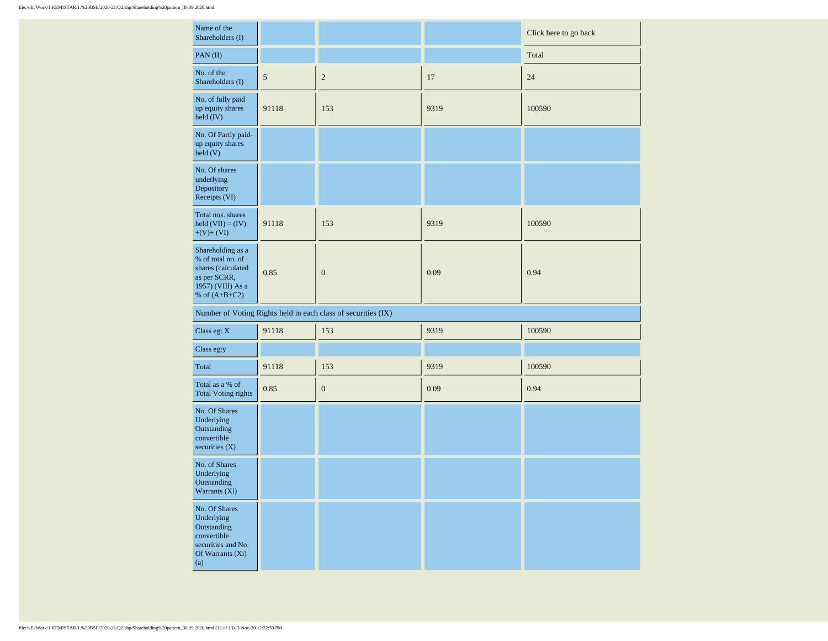| Name of the<br>Shareholders (I)                                                                                         |            |                                                               |      | Click here to go back |
|-------------------------------------------------------------------------------------------------------------------------|------------|---------------------------------------------------------------|------|-----------------------|
| PAN(II)                                                                                                                 |            |                                                               |      | Total                 |
| No. of the<br>Shareholders (I)                                                                                          | $\sqrt{5}$ | $\overline{c}$                                                | 17   | 24                    |
| No. of fully paid<br>up equity shares<br>held (IV)                                                                      | 91118      | 153                                                           | 9319 | 100590                |
| No. Of Partly paid-<br>up equity shares<br>held(V)                                                                      |            |                                                               |      |                       |
| No. Of shares<br>underlying<br>Depository<br>Receipts (VI)                                                              |            |                                                               |      |                       |
| Total nos. shares<br>held $(VII) = (IV)$<br>$+(V)+(VI)$                                                                 | 91118      | 153                                                           | 9319 | 100590                |
| Shareholding as a<br>% of total no. of<br>shares (calculated<br>as per SCRR,<br>1957) (VIII) As a<br>$\%$ of $(A+B+C2)$ | 0.85       | $\boldsymbol{0}$                                              | 0.09 | 0.94                  |
|                                                                                                                         |            | Number of Voting Rights held in each class of securities (IX) |      |                       |
| Class eg: X                                                                                                             | 91118      | 153                                                           | 9319 | 100590                |
| Class eg:y                                                                                                              |            |                                                               |      |                       |
| Total                                                                                                                   | 91118      | 153                                                           | 9319 | 100590                |
| Total as a % of<br><b>Total Voting rights</b>                                                                           | 0.85       | $\boldsymbol{0}$                                              | 0.09 | 0.94                  |
| No. Of Shares<br>Underlying<br>Outstanding<br>convertible<br>securities $(X)$                                           |            |                                                               |      |                       |
| No. of Shares<br>Underlying<br>Outstanding<br>Warrants (Xi)                                                             |            |                                                               |      |                       |
| No. Of Shares<br>Underlying<br>Outstanding<br>convertible<br>securities and No.<br>Of Warrants (Xi)<br>(a)              |            |                                                               |      |                       |